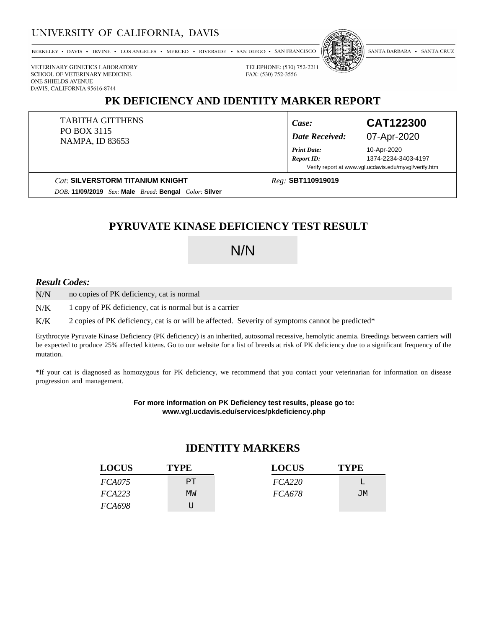### UNIVERSITY OF CALIFORNIA, DAVIS

BERKELEY • DAVIS • IRVINE • LOS ANGELES • MERCED • RIVERSIDE • SAN DIEGO • SAN FRANCISCO



SANTA BARBARA . SANTA CRUZ

VETERINARY GENETICS LABORATORY SCHOOL OF VETERINARY MEDICINE ONE SHIELDS AVENUE DAVIS, CALIFORNIA 95616-8744

### **PK DEFICIENCY AND IDENTITY MARKER REPORT**

FAX: (530) 752-3556

TABITHA GITTHENS PO BOX 3115 NAMPA, ID 83653

*Case:* **CAT122300**

*Date Received:* 07-Apr-2020

10-Apr-2020 *Report ID:* 1374-2234-3403-4197 Verify report at www.vgl.ucdavis.edu/myvgl/verify.htm

**Cat: SILVERSTORM TITANIUM KNIGHT** 

*Reg:*

*Print Date:*

*DOB:* **11/09/2019** *Sex:* **Male** *Breed:* **Bengal** *Color:* **Silver**

## **PYRUVATE KINASE DEFICIENCY TEST RESULT**

# N/N

#### *Result Codes:*

no copies of PK deficiency, cat is normal N/N

1 copy of PK deficiency, cat is normal but is a carrier N/K

2 copies of PK deficiency, cat is or will be affected. Severity of symptoms cannot be predicted\* K/K

Erythrocyte Pyruvate Kinase Deficiency (PK deficiency) is an inherited, autosomal recessive, hemolytic anemia. Breedings between carriers will be expected to produce 25% affected kittens. Go to our website for a list of breeds at risk of PK deficiency due to a significant frequency of the mutation.

\*If your cat is diagnosed as homozygous for PK deficiency, we recommend that you contact your veterinarian for information on disease progression and management.

> **For more information on PK Deficiency test results, please go to: www.vgl.ucdavis.edu/services/pkdeficiency.php**

### **IDENTITY MARKERS**

| <b>LOCUS</b>  | <b>TYPE</b> | <b>LOCUS</b>  | <b>TYPE</b> |
|---------------|-------------|---------------|-------------|
| <i>FCA075</i> | PT.         | FCA220        |             |
| FCA223        | MW          | <i>FCA678</i> | JM          |
| <i>FCA698</i> |             |               |             |